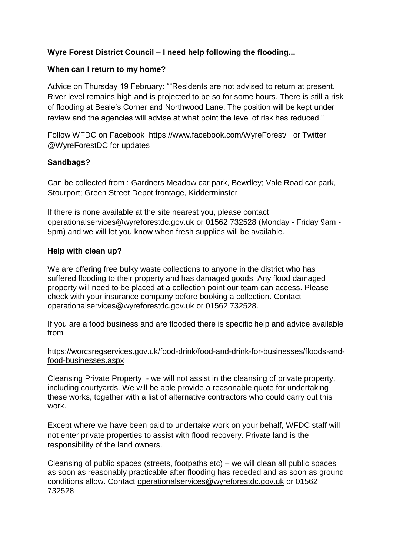# **Wyre Forest District Council – I need help following the flooding...**

# **When can I return to my home?**

Advice on Thursday 19 February: ""Residents are not advised to return at present. River level remains high and is projected to be so for some hours. There is still a risk of flooding at Beale's Corner and Northwood Lane. The position will be kept under review and the agencies will advise at what point the level of risk has reduced."

Follow WFDC on Facebook <https://www.facebook.com/WyreForest/>or Twitter @WyreForestDC for updates

# **Sandbags?**

Can be collected from : Gardners Meadow car park, Bewdley; Vale Road car park, Stourport; Green Street Depot frontage, Kidderminster

If there is none available at the site nearest you, please contact [operationalservices@wyreforestdc.gov.uk](mailto:operationalservices@wyreforestdc.gov.uk) or 01562 732528 (Monday - Friday 9am - 5pm) and we will let you know when fresh supplies will be available.

#### **Help with clean up?**

We are offering free bulky waste collections to anyone in the district who has suffered flooding to their property and has damaged goods. Any flood damaged property will need to be placed at a collection point our team can access. Please check with your insurance company before booking a collection. Contact [operationalservices@wyreforestdc.gov.uk](mailto:operationalservices@wyreforestdc.gov.uk) or 01562 732528.

If you are a food business and are flooded there is specific help and advice available from

[https://worcsregservices.gov.uk/food-drink/food-and-drink-for-businesses/floods-and](https://worcsregservices.gov.uk/food-drink/food-and-drink-for-businesses/floods-and-food-businesses.aspx)[food-businesses.aspx](https://worcsregservices.gov.uk/food-drink/food-and-drink-for-businesses/floods-and-food-businesses.aspx)

Cleansing Private Property - we will not assist in the cleansing of private property, including courtyards. We will be able provide a reasonable quote for undertaking these works, together with a list of alternative contractors who could carry out this work.

Except where we have been paid to undertake work on your behalf, WFDC staff will not enter private properties to assist with flood recovery. Private land is the responsibility of the land owners.

Cleansing of public spaces (streets, footpaths etc) – we will clean all public spaces as soon as reasonably practicable after flooding has receded and as soon as ground conditions allow. Contact [operationalservices@wyreforestdc.gov.uk](mailto:operationalservices@wyreforestdc.gov.uk) or 01562 732528